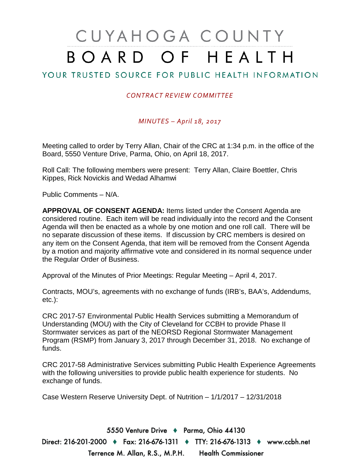# CUYAHOGA COUNTY BOARD OF HEALTH

# YOUR TRUSTED SOURCE FOR PUBLIC HEALTH INFORMATION

#### *CONTRACT REVIEW COMMITTEE*

#### *MINUTES – April 18, 2017*

Meeting called to order by Terry Allan, Chair of the CRC at 1:34 p.m. in the office of the Board, 5550 Venture Drive, Parma, Ohio, on April 18, 2017.

Roll Call: The following members were present: Terry Allan, Claire Boettler, Chris Kippes, Rick Novickis and Wedad Alhamwi

Public Comments – N/A.

**APPROVAL OF CONSENT AGENDA:** Items listed under the Consent Agenda are considered routine. Each item will be read individually into the record and the Consent Agenda will then be enacted as a whole by one motion and one roll call. There will be no separate discussion of these items. If discussion by CRC members is desired on any item on the Consent Agenda, that item will be removed from the Consent Agenda by a motion and majority affirmative vote and considered in its normal sequence under the Regular Order of Business.

Approval of the Minutes of Prior Meetings: Regular Meeting – April 4, 2017.

Contracts, MOU's, agreements with no exchange of funds (IRB's, BAA's, Addendums, etc.):

CRC 2017-57 Environmental Public Health Services submitting a Memorandum of Understanding (MOU) with the City of Cleveland for CCBH to provide Phase II Stormwater services as part of the NEORSD Regional Stormwater Management Program (RSMP) from January 3, 2017 through December 31, 2018. No exchange of funds.

CRC 2017-58 Administrative Services submitting Public Health Experience Agreements with the following universities to provide public health experience for students. No exchange of funds.

Case Western Reserve University Dept. of Nutrition – 1/1/2017 – 12/31/2018

5550 Venture Drive + Parma, Ohio 44130 Direct: 216-201-2000 ♦ Fax: 216-676-1311 ♦ TTY: 216-676-1313 ♦ www.ccbh.net Terrence M. Allan, R.S., M.P.H. Health Commissioner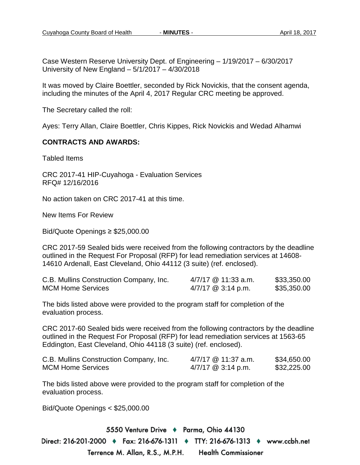Case Western Reserve University Dept. of Engineering – 1/19/2017 – 6/30/2017 University of New England – 5/1/2017 – 4/30/2018

It was moved by Claire Boettler, seconded by Rick Novickis, that the consent agenda, including the minutes of the April 4, 2017 Regular CRC meeting be approved.

The Secretary called the roll:

Ayes: Terry Allan, Claire Boettler, Chris Kippes, Rick Novickis and Wedad Alhamwi

#### **CONTRACTS AND AWARDS:**

Tabled Items

CRC 2017-41 HIP-Cuyahoga - Evaluation Services RFQ# 12/16/2016

No action taken on CRC 2017-41 at this time.

New Items For Review

Bid/Quote Openings ≥ \$25,000.00

CRC 2017-59 Sealed bids were received from the following contractors by the deadline outlined in the Request For Proposal (RFP) for lead remediation services at 14608- 14610 Ardenall, East Cleveland, Ohio 44112 (3 suite) (ref. enclosed).

| C.B. Mullins Construction Company, Inc. | 4/7/17 @ 11:33 a.m.  | \$33,350.00 |
|-----------------------------------------|----------------------|-------------|
| <b>MCM Home Services</b>                | $4/7/17$ @ 3:14 p.m. | \$35,350.00 |

The bids listed above were provided to the program staff for completion of the evaluation process.

CRC 2017-60 Sealed bids were received from the following contractors by the deadline outlined in the Request For Proposal (RFP) for lead remediation services at 1563-65 Eddington, East Cleveland, Ohio 44118 (3 suite) (ref. enclosed).

| C.B. Mullins Construction Company, Inc. | 4/7/17 @ 11:37 a.m.  | \$34,650.00 |
|-----------------------------------------|----------------------|-------------|
| <b>MCM Home Services</b>                | $4/7/17$ @ 3:14 p.m. | \$32,225.00 |

The bids listed above were provided to the program staff for completion of the evaluation process.

Bid/Quote Openings < \$25,000.00

5550 Venture Drive + Parma, Ohio 44130 Direct: 216-201-2000 ♦ Fax: 216-676-1311 ♦ TTY: 216-676-1313 ♦ www.ccbh.net Terrence M. Allan, R.S., M.P.H. Health Commissioner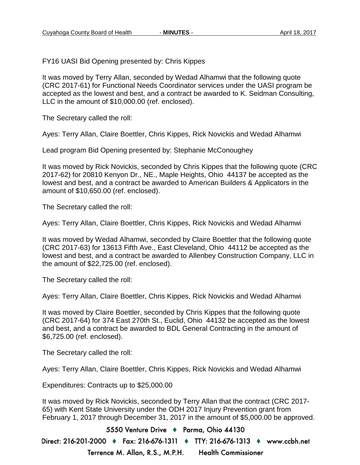FY16 UASI Bid Opening presented by: Chris Kippes

It was moved by Terry Allan, seconded by Wedad Alhamwi that the following quote (CRC 2017-61) for Functional Needs Coordinator services under the UASI program be accepted as the lowest and best, and a contract be awarded to K. Seidman Consulting, LLC in the amount of \$10,000.00 (ref. enclosed).

The Secretary called the roll:

Ayes: Terry Allan, Claire Boettler, Chris Kippes, Rick Novickis and Wedad Alhamwi

Lead program Bid Opening presented by: Stephanie McConoughey

It was moved by Rick Novickis, seconded by Chris Kippes that the following quote (CRC 2017-62) for 20810 Kenyon Dr., NE., Maple Heights, Ohio 44137 be accepted as the lowest and best, and a contract be awarded to American Builders & Applicators in the amount of \$10,650.00 (ref. enclosed).

The Secretary called the roll:

Ayes: Terry Allan, Claire Boettler, Chris Kippes, Rick Novickis and Wedad Alhamwi

It was moved by Wedad Alhamwi, seconded by Claire Boettler that the following quote (CRC 2017-63) for 13613 Fifth Ave., East Cleveland, Ohio 44112 be accepted as the lowest and best, and a contract be awarded to Allenbey Construction Company, LLC in the amount of \$22,725.00 (ref. enclosed).

The Secretary called the roll:

Ayes: Terry Allan, Claire Boettler, Chris Kippes, Rick Novickis and Wedad Alhamwi

It was moved by Claire Boettler, seconded by Chris Kippes that the following quote (CRC 2017-64) for 374 East 270th St., Euclid, Ohio 44132 be accepted as the lowest and best, and a contract be awarded to BDL General Contracting in the amount of \$6,725.00 (ref. enclosed).

The Secretary called the roll:

Ayes: Terry Allan, Claire Boettler, Chris Kippes, Rick Novickis and Wedad Alhamwi

Expenditures: Contracts up to \$25,000.00

It was moved by Rick Novickis, seconded by Terry Allan that the contract (CRC 2017- 65) with Kent State University under the ODH 2017 Injury Prevention grant from February 1, 2017 through December 31, 2017 in the amount of \$5,000.00 be approved.

5550 Venture Drive + Parma, Ohio 44130 Direct: 216-201-2000 ♦ Fax: 216-676-1311 ♦ TTY: 216-676-1313 ♦ www.ccbh.net Terrence M. Allan, R.S., M.P.H. **Health Commissioner**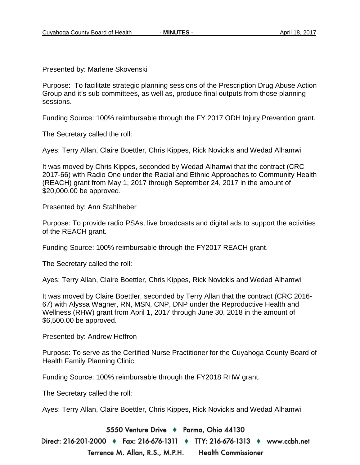Presented by: Marlene Skovenski

Purpose: To facilitate strategic planning sessions of the Prescription Drug Abuse Action Group and it's sub committees, as well as, produce final outputs from those planning sessions.

Funding Source: 100% reimbursable through the FY 2017 ODH Injury Prevention grant.

The Secretary called the roll:

Ayes: Terry Allan, Claire Boettler, Chris Kippes, Rick Novickis and Wedad Alhamwi

It was moved by Chris Kippes, seconded by Wedad Alhamwi that the contract (CRC 2017-66) with Radio One under the Racial and Ethnic Approaches to Community Health (REACH) grant from May 1, 2017 through September 24, 2017 in the amount of \$20,000.00 be approved.

Presented by: Ann Stahlheber

Purpose: To provide radio PSAs, live broadcasts and digital ads to support the activities of the REACH grant.

Funding Source: 100% reimbursable through the FY2017 REACH grant.

The Secretary called the roll:

Ayes: Terry Allan, Claire Boettler, Chris Kippes, Rick Novickis and Wedad Alhamwi

It was moved by Claire Boettler, seconded by Terry Allan that the contract (CRC 2016- 67) with Alyssa Wagner, RN, MSN, CNP, DNP under the Reproductive Health and Wellness (RHW) grant from April 1, 2017 through June 30, 2018 in the amount of \$6,500.00 be approved.

Presented by: Andrew Heffron

Purpose: To serve as the Certified Nurse Practitioner for the Cuyahoga County Board of Health Family Planning Clinic.

Funding Source: 100% reimbursable through the FY2018 RHW grant.

The Secretary called the roll:

Ayes: Terry Allan, Claire Boettler, Chris Kippes, Rick Novickis and Wedad Alhamwi

5550 Venture Drive + Parma, Ohio 44130

Direct: 216-201-2000 ♦ Fax: 216-676-1311 ♦ TTY: 216-676-1313 ♦ www.ccbh.net Terrence M. Allan, R.S., M.P.H. **Health Commissioner**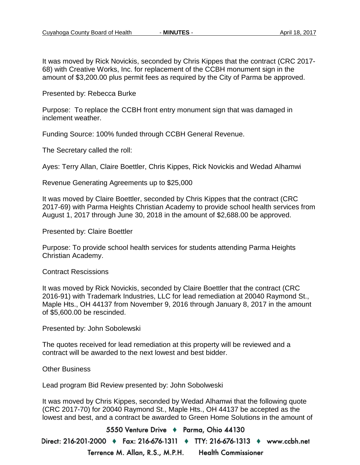It was moved by Rick Novickis, seconded by Chris Kippes that the contract (CRC 2017- 68) with Creative Works, Inc. for replacement of the CCBH monument sign in the amount of \$3,200.00 plus permit fees as required by the City of Parma be approved.

Presented by: Rebecca Burke

Purpose: To replace the CCBH front entry monument sign that was damaged in inclement weather.

Funding Source: 100% funded through CCBH General Revenue.

The Secretary called the roll:

Ayes: Terry Allan, Claire Boettler, Chris Kippes, Rick Novickis and Wedad Alhamwi

Revenue Generating Agreements up to \$25,000

It was moved by Claire Boettler, seconded by Chris Kippes that the contract (CRC 2017-69) with Parma Heights Christian Academy to provide school health services from August 1, 2017 through June 30, 2018 in the amount of \$2,688.00 be approved.

Presented by: Claire Boettler

Purpose: To provide school health services for students attending Parma Heights Christian Academy.

Contract Rescissions

It was moved by Rick Novickis, seconded by Claire Boettler that the contract (CRC 2016-91) with Trademark Industries, LLC for lead remediation at 20040 Raymond St., Maple Hts., OH 44137 from November 9, 2016 through January 8, 2017 in the amount of \$5,600.00 be rescinded.

Presented by: John Sobolewski

The quotes received for lead remediation at this property will be reviewed and a contract will be awarded to the next lowest and best bidder.

Other Business

Lead program Bid Review presented by: John Sobolweski

It was moved by Chris Kippes, seconded by Wedad Alhamwi that the following quote (CRC 2017-70) for 20040 Raymond St., Maple Hts., OH 44137 be accepted as the lowest and best, and a contract be awarded to Green Home Solutions in the amount of

5550 Venture Drive + Parma, Ohio 44130 Direct: 216-201-2000 ♦ Fax: 216-676-1311 ♦ TTY: 216-676-1313 ♦ www.ccbh.net Terrence M. Allan, R.S., M.P.H. **Health Commissioner**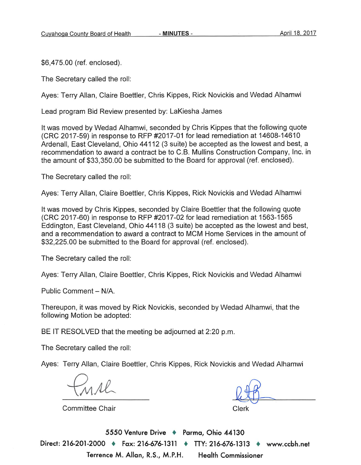\$6,475.00 (ref. enclosed).

The Secretary called the roll:

Aves: Terry Allan, Claire Boettler, Chris Kippes, Rick Novickis and Wedad Alhamwi

Lead program Bid Review presented by: LaKiesha James

It was moved by Wedad Alhamwi, seconded by Chris Kippes that the following quote (CRC 2017-59) in response to RFP #2017-01 for lead remediation at 14608-14610 Ardenall, East Cleveland, Ohio 44112 (3 suite) be accepted as the lowest and best, a recommendation to award a contract be to C.B. Mullins Construction Company. Inc. in the amount of \$33,350.00 be submitted to the Board for approval (ref. enclosed).

The Secretary called the roll:

Ayes: Terry Allan, Claire Boettler, Chris Kippes, Rick Novickis and Wedad Alhamwi

It was moved by Chris Kippes, seconded by Claire Boettler that the following quote (CRC 2017-60) in response to RFP #2017-02 for lead remediation at 1563-1565 Eddington, East Cleveland, Ohio 44118 (3 suite) be accepted as the lowest and best, and a recommendation to award a contract to MCM Home Services in the amount of \$32,225.00 be submitted to the Board for approval (ref. enclosed).

The Secretary called the roll:

Ayes: Terry Allan, Claire Boettler, Chris Kippes, Rick Novickis and Wedad Alhamwi

Public Comment - N/A.

Thereupon, it was moved by Rick Novickis, seconded by Wedad Alhamwi, that the following Motion be adopted:

BE IT RESOLVED that the meeting be adjourned at 2:20 p.m.

The Secretary called the roll:

Ayes: Terry Allan, Claire Boettler, Chris Kippes, Rick Novickis and Wedad Alhamwi

**Committee Chair** 

Clerk

5550 Venture Drive + Parma, Ohio 44130 Direct: 216-201-2000 • Fax: 216-676-1311 • TTY: 216-676-1313 • www.ccbh.net Terrence M. Allan, R.S., M.P.H. **Health Commissioner**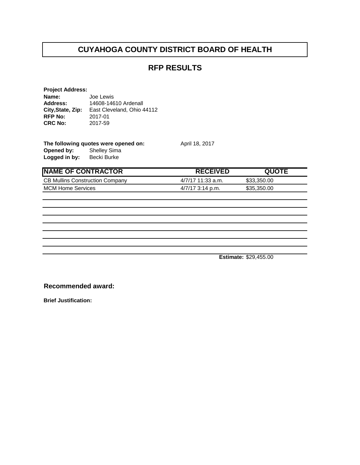#### **RFP RESULTS**

| <b>Project Address:</b> |                            |
|-------------------------|----------------------------|
| Name:                   | Joe Lewis                  |
| Address:                | 14608-14610 Ardenall       |
| City, State, Zip:       | East Cleveland, Ohio 44112 |
| <b>RFP No:</b>          | 2017-01                    |
| <b>CRC No:</b>          | 2017-59                    |
|                         |                            |

| The following quotes were opened on: |                     |  |
|--------------------------------------|---------------------|--|
| Opened by:                           | <b>Shelley Sima</b> |  |
| Logged in by:                        | Becki Burke         |  |

**NAME OF CONTRACTOR BEGEIVED AND THE RECEIVED** CB Mullins Construction Company 4/7/17 11:33 a.m. \$33,350.00 MCM Home Services **17/17 3:14 p.m.** \$35,350.00

**April 18, 2017** 

**Estimate:** \$29,455.00

**Recommended award:**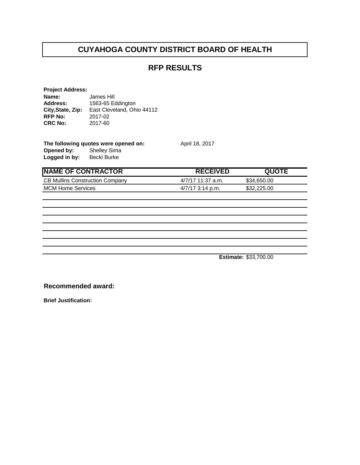#### **RFP RESULTS**

| <b>Project Address:</b> |                            |
|-------------------------|----------------------------|
| Name:                   | James Hill                 |
| <b>Address:</b>         | 1563-65 Eddington          |
| City, State, Zip:       | East Cleveland, Ohio 44112 |
| <b>RFP No:</b>          | 2017-02                    |
| <b>CRC No:</b>          | 2017-60                    |
|                         |                            |

| The following quotes were opened on: |                     |  |
|--------------------------------------|---------------------|--|
| Opened by:                           | <b>Shelley Sima</b> |  |
| Logged in by:                        | Becki Burke         |  |

**April 18, 2017** 

| <b>NAME OF CONTRACTOR</b>              | <b>RECEIVED</b>     | <b>QUOTE</b> |
|----------------------------------------|---------------------|--------------|
| <b>CB Mullins Construction Company</b> | $4/7/17$ 11:37 a.m. | \$34,650,00  |
| <b>MCM Home Services</b>               | $4/7/17$ 3:14 p.m.  | \$32,225,00  |
|                                        |                     |              |

**Estimate:** \$33,700.00

**Recommended award:**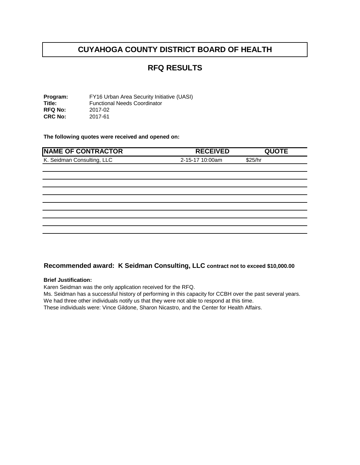#### **RFQ RESULTS**

**Program:** FY16 Urban Area Security Initiative (UASI)<br> **Title:** Functional Needs Coordinator Functional Needs Coordinator<br>2017-02 **RFQ No:** 2017-02<br>**CRC No:** 2017-61 **CRC No:** 

**The following quotes were received and opened on:** 

| <b>NAME OF CONTRACTOR</b>  | <b>RECEIVED</b> | <b>QUOTE</b> |
|----------------------------|-----------------|--------------|
| K. Seidman Consulting, LLC | 2-15-17 10:00am | \$25/hr      |
|                            |                 |              |
|                            |                 |              |
|                            |                 |              |
|                            |                 |              |
|                            |                 |              |
|                            |                 |              |
|                            |                 |              |
|                            |                 |              |
|                            |                 |              |

#### **Recommended award: K Seidman Consulting, LLC contract not to exceed \$10,000.00**

#### **Brief Justification:**

Karen Seidman was the only application received for the RFQ.

Ms. Seidman has a successful history of performing in this capacity for CCBH over the past several years. We had three other individuals notify us that they were not able to respond at this time.

These individuals were: Vince Gildone, Sharon Nicastro, and the Center for Health Affairs.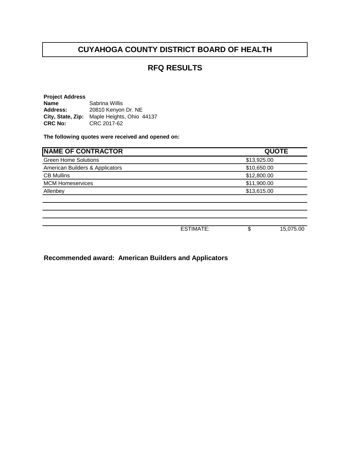#### **RFQ RESULTS**

**Project Address Name** Sabrina Willis<br> **Address:** 20810 Kenyor **Address:** 20810 Kenyon Dr. NE City, State, Zip: Maple Heights, Ohio 44137<br>CRC No: CRC 2017-62 **CRC No:** CRC 2017-62

**The following quotes were received and opened on:** 

| <b>NAME OF CONTRACTOR</b>       |                  |             | <b>QUOTE</b> |
|---------------------------------|------------------|-------------|--------------|
| <b>Green Home Solutions</b>     |                  | \$13,925.00 |              |
| American Builders & Applicators |                  | \$10,650.00 |              |
| <b>CB Mullins</b>               |                  | \$12,800.00 |              |
| <b>MCM Homeservices</b>         | \$11,900.00      |             |              |
| Allenbey                        |                  | \$13,615.00 |              |
|                                 |                  |             |              |
|                                 |                  |             |              |
|                                 |                  |             |              |
|                                 |                  |             |              |
|                                 | <b>ESTIMATE:</b> | \$          | 15,075.00    |

**Recommended award: American Builders and Applicators**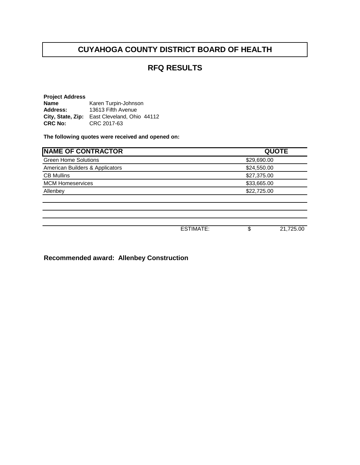#### **RFQ RESULTS**

**Project Address Name** Karen Turpin-Johnson<br> **Address:** 13613 Fifth Avenue **Address:** 13613 Fifth Avenue **City, State, Zip:** East Cleveland, Ohio 44112 **CRC No:** CRC 2017-63

**The following quotes were received and opened on:** 

| <b>NAME OF CONTRACTOR</b>       |                  | <b>QUOTE</b> |           |  |
|---------------------------------|------------------|--------------|-----------|--|
| <b>Green Home Solutions</b>     |                  | \$29,690.00  |           |  |
| American Builders & Applicators |                  | \$24,550.00  |           |  |
| <b>CB Mullins</b>               |                  | \$27,375.00  |           |  |
| <b>MCM Homeservices</b>         |                  | \$33,665.00  |           |  |
| Allenbey                        |                  | \$22,725.00  |           |  |
|                                 |                  |              |           |  |
|                                 |                  |              |           |  |
|                                 |                  |              |           |  |
|                                 |                  |              |           |  |
|                                 | <b>ESTIMATE:</b> | \$           | 21,725.00 |  |

**Recommended award: Allenbey Construction**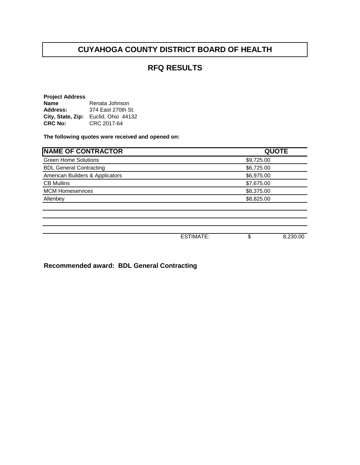#### **RFQ RESULTS**

| <b>Project Address</b> |                    |  |  |
|------------------------|--------------------|--|--|
| <b>Name</b>            | Renata Johnson     |  |  |
| Address:               | 374 East 270th St. |  |  |
| City, State, Zip:      | Euclid, Ohio 44132 |  |  |
| <b>CRC No:</b>         | CRC 2017-64        |  |  |

**The following quotes were received and opened on:** 

| <b>NAME OF CONTRACTOR</b>       |                  |            | <b>QUOTE</b> |  |
|---------------------------------|------------------|------------|--------------|--|
| <b>Green Home Solutions</b>     |                  | \$9,725.00 |              |  |
| <b>BDL General Contracting</b>  |                  | \$6,725.00 |              |  |
| American Builders & Applicators |                  | \$6,975.00 |              |  |
| <b>CB Mullins</b>               |                  | \$7,675.00 |              |  |
| <b>MCM Homeservices</b>         |                  | \$8,375.00 |              |  |
| Allenbey                        |                  | \$8,825.00 |              |  |
|                                 |                  |            |              |  |
|                                 |                  |            |              |  |
|                                 | <b>ESTIMATE:</b> | \$         | 8,230.00     |  |

**Recommended award: BDL General Contracting**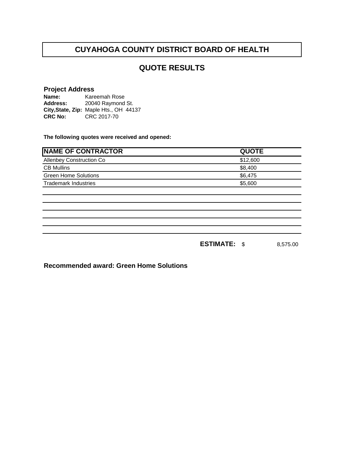#### **QUOTE RESULTS**

# **Project Address**

**Name: Address: City,State, Zip:** Maple Hts., OH 44137**CRC No:** CRC 2017-70 Kareemah Rose 20040 Raymond St.

**The following quotes were received and opened:**

| <b>NAME OF CONTRACTOR</b>   | <b>QUOTE</b>          |          |
|-----------------------------|-----------------------|----------|
| Allenbey Construction Co    | \$12,600              |          |
| <b>CB Mullins</b>           | \$8,400               |          |
| <b>Green Home Solutions</b> | \$6,475               |          |
| <b>Trademark Industries</b> | \$5,600               |          |
|                             |                       |          |
|                             |                       |          |
|                             |                       |          |
|                             |                       |          |
|                             |                       |          |
|                             |                       |          |
|                             | <b>ESTIMATE:</b><br>S | 8,575.00 |

**Recommended award: Green Home Solutions**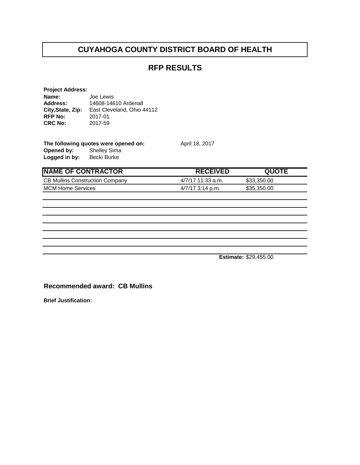#### **RFP RESULTS**

**April 18, 2017** 

| <b>Project Address:</b> |                            |
|-------------------------|----------------------------|
| Name:                   | Joe Lewis                  |
| <b>Address:</b>         | 14608-14610 Ardenall       |
| City, State, Zip:       | East Cleveland, Ohio 44112 |
| <b>RFP No:</b>          | 2017-01                    |
| <b>CRC No:</b>          | 2017-59                    |
|                         |                            |

| The following quotes were opened on: |                     |  |
|--------------------------------------|---------------------|--|
| Opened by:                           | <b>Shelley Sima</b> |  |
| Logged in by:                        | Becki Burke         |  |

**NAME OF CONTRACTOR RECEIVED QUOTE** CB Mullins Construction Company 4/7/17 11:33 a.m. \$33,350.00 MCM Home Services **1/2/17 3:14 p.m.** \$35,350.00

**Estimate:** \$29,455.00

**Recommended award: CB Mullins**